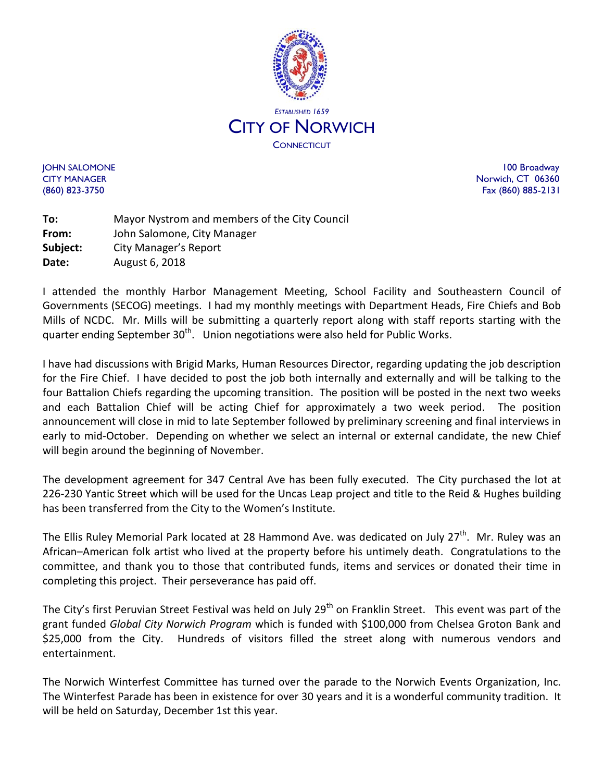

JOHN SALOMONE 100 Broadway CITY MANAGER NORTH STATES AND THE SERVICE OF THE SERVICE OF THE SERVICE OF THE SERVICE OF THE SERVICE OF THE SERVICE OF THE SERVICE OF THE SERVICE OF THE SERVICE OF THE SERVICE OF THE SERVICE OF THE SERVICE OF THE SERVICE (860) 823-3750 Fax (860) 885-2131

**To:** Mayor Nystrom and members of the City Council **From:** John Salomone, City Manager **Subject:** City Manager's Report **Date:** August 6, 2018

I attended the monthly Harbor Management Meeting, School Facility and Southeastern Council of Governments (SECOG) meetings. I had my monthly meetings with Department Heads, Fire Chiefs and Bob Mills of NCDC. Mr. Mills will be submitting a quarterly report along with staff reports starting with the quarter ending September 30<sup>th</sup>. Union negotiations were also held for Public Works.

I have had discussions with Brigid Marks, Human Resources Director, regarding updating the job description for the Fire Chief. I have decided to post the job both internally and externally and will be talking to the four Battalion Chiefs regarding the upcoming transition. The position will be posted in the next two weeks and each Battalion Chief will be acting Chief for approximately a two week period. The position announcement will close in mid to late September followed by preliminary screening and final interviews in early to mid-October. Depending on whether we select an internal or external candidate, the new Chief will begin around the beginning of November.

The development agreement for 347 Central Ave has been fully executed. The City purchased the lot at 226-230 Yantic Street which will be used for the Uncas Leap project and title to the Reid & Hughes building has been transferred from the City to the Women's Institute.

The Ellis Ruley Memorial Park located at 28 Hammond Ave. was dedicated on July 27<sup>th</sup>. Mr. Ruley was an African–American folk artist who lived at the property before his untimely death. Congratulations to the committee, and thank you to those that contributed funds, items and services or donated their time in completing this project. Their perseverance has paid off.

The City's first Peruvian Street Festival was held on July 29<sup>th</sup> on Franklin Street. This event was part of the grant funded *Global City Norwich Program* which is funded with \$100,000 from Chelsea Groton Bank and \$25,000 from the City. Hundreds of visitors filled the street along with numerous vendors and entertainment.

The Norwich Winterfest Committee has turned over the parade to the Norwich Events Organization, Inc. The Winterfest Parade has been in existence for over 30 years and it is a wonderful community tradition. It will be held on Saturday, December 1st this year.